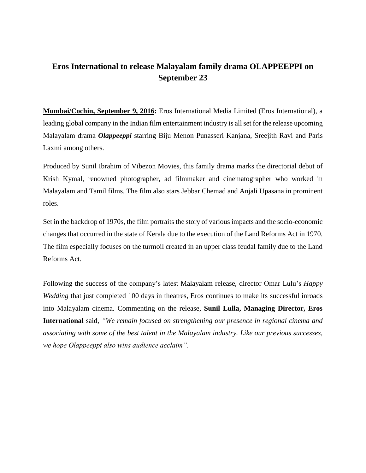## **Eros International to release Malayalam family drama OLAPPEEPPI on September 23**

**Mumbai/Cochin, September 9, 2016:** Eros International Media Limited (Eros International), a leading global company in the Indian film entertainment industry is all set for the release upcoming Malayalam drama *Olappeeppi* starring Biju Menon Punasseri Kanjana, Sreejith Ravi and Paris Laxmi among others.

Produced by Sunil Ibrahim of Vibezon Movies, this family drama marks the directorial debut of Krish Kymal, renowned photographer, ad filmmaker and cinematographer who worked in Malayalam and Tamil films. The film also stars Jebbar Chemad and Anjali Upasana in prominent roles.

Set in the backdrop of 1970s, the film portraits the story of various impacts and the socio-economic changes that occurred in the state of Kerala due to the execution of the Land Reforms Act in 1970. The film especially focuses on the turmoil created in an upper class feudal family due to the Land Reforms Act.

Following the success of the company's latest Malayalam release, director Omar Lulu's *Happy Wedding* that just completed 100 days in theatres, Eros continues to make its successful inroads into Malayalam cinema. Commenting on the release, **Sunil Lulla, Managing Director, Eros International** said, *"We remain focused on strengthening our presence in regional cinema and associating with some of the best talent in the Malayalam industry. Like our previous successes, we hope Olappeeppi also wins audience acclaim".*